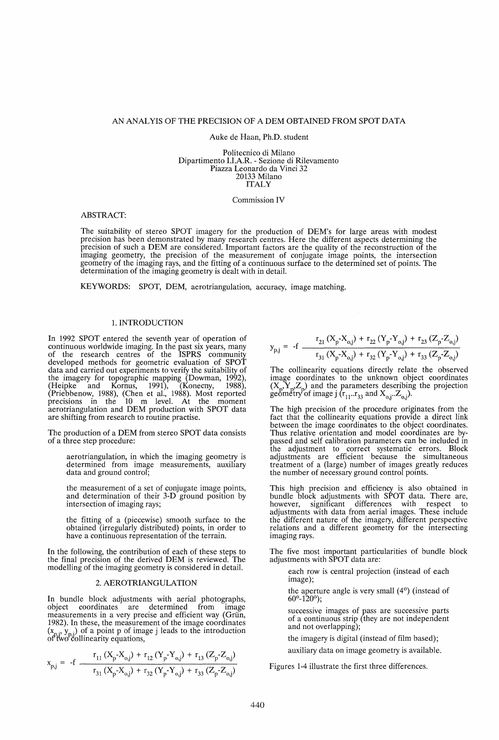# AN ANAL YIS OF THE PRECISION OF A DEM OBTAINED FROM SPOT DATA

### Auke de Haan, Ph.D. student

Politecnico di Milano Dipartimento I.I.A.R. - Sezione di Rilevamento Piazza Leonardo da Vinci 32 20133 Milano **ITALY** 

#### Commission IV

# ABSTRACT:

The suitability of stereo SPOT imagery for the production of DEM's for large areas with modest precision has been demonstrated by many research centres. Here the different aspects determining the precision of such a DEM are considered. Important factors are the quality of the reconstruction of the imaging geometry, the precision of the measurement of conjugate image points, the intersection geometry of the imaging rays, and the fitting of a continuous surface to the determined set of points. The determination of the imaging geometry is dealt with in detail.

KEYWORDS: SPOT, DEM, aerotriangulation, accuracy, image matching.

#### 1. INTRODUCTION

In 1992 SPOT entered the seventh year of operation of continuous worldwide imaging. In the past six years, many of the research centres of the ISPRS community developed methods for geometric evaluation of SPOT data and carried out experiments to verify the suitability of the imagery for topographic mapping (Dowman, 1992), (Heipke and Kornus, 1991), (Konecny, 1988), (Priebbenow, 1988), (Chen et al., 1988). Most reported precisions in the 10 m level. At the moment aerotriangulation and DEM production with SPOT data are shifting from research to routine practise.

The production of a DEM from stereo SPOT data consists of a three step procedure:

aerotriangulation, in which the imaging geometry is determined from image measurements, auxiliary data and ground control;

the measurement of a set of conjugate image points, and determination of their 3-D ground position by intersection of imaging rays;

the fitting of a (piecewise) smooth surface to the obtained (irregularly distributed) points, in order to have a continuous representation of the terrain,

In the following, the contribution of each of these steps to the final precision of the derived DEM is reviewed. The modelling of the imaging geometry is considered in detail.

# 2. AEROTRIANGULATION

In bundle block adjustments with aerial photographs, object coordinates are determined from image coordinates are determined from image measurements in a very precise and efficient way (Grün, 1982). In these, the measurement of the image coordinates  $(x_{n,i}, y_{n,i})$  of a point p of image j leads to the introduction of two collinearity equations,

$$
x_{p,j} = -f \frac{r_{11} (X_p - X_{o,j}) + r_{12} (Y_p - Y_{o,j}) + r_{13} (Z_p - Z_{o,j})}{r_{31} (X_p - X_{o,j}) + r_{32} (Y_p - Y_{o,j}) + r_{33} (Z_p - Z_{o,j})}
$$

$$
y_{p,j} = -f \frac{r_{21} (X_p - X_{o,j}) + r_{22} (Y_p - Y_{o,j}) + r_{23} (Z_p - Z_{o,j})}{r_{31} (X_p - X_{o,j}) + r_{32} (Y_p - Y_{o,j}) + r_{33} (Z_p - Z_{o,j})}
$$

The collinearity equations directly relate the observed image coordinates to the unknown object coordinates  $(X_{n}, Y_{n}, Z_{n})$  and the parameters describing the projection geometry of image j  $(r_{11}..r_{33} \text{ and } X_{0,j}..Z_{0,j}).$ 

The high precision of the procedure originates from the fact that the collinearity equations provide a direct link between the image coordinates to the object coordinates. Thus relative orientation and model coordinates are bypassed and self calibration parameters can be included in the adjustment to correct systematic errors. Block adjustments are efficient because the simultaneous treatment of a (large) number of images greatly reduces the number of necessary ground control points.

This high precision and efficiency is also obtained in bundle block adjustments with SPOT data. There are, however, significant differences with respect to adjustments with data from aerial images. These include the different nature of the imagery, different perspective relations and a different geometry for the intersecting imaging rays.

The five most important particularities of bundle block adjustments with SPOT data are:

each row is central projection (instead of each image);

the aperture angle is very small (4°) (instead of  $60^{\circ}$ -120 $^{\circ}$ );

successive images of pass are successive parts of a continuous strip (they are not independent and not overlapping);

the imagery is digital (instead of film based);

auxiliary data on image geometry is available.

Figures 1-4 illustrate the first three differences.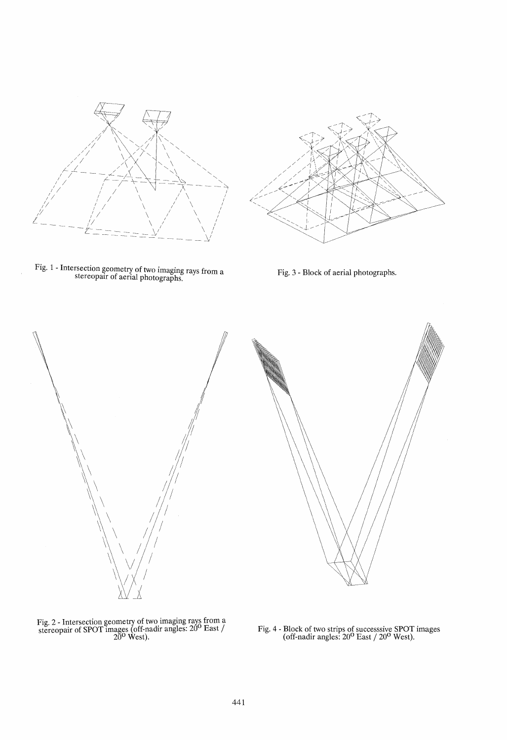

Fig. 1 - Intersection geometry of two imaging rays from a stereopair of aerial photographs.



Fig. 3 - Block of aerial photographs.





Fig. 2 - Intersection geometry of two imaging rays from a stereopair of SPOT images (off-nadir angles:  $20^{\circ}$  East /  $20^{\circ}$  West).

Fig. 4 - Block of two strips of successsive SPOT images (off-nadir angles:  $20^0$  East /  $20^0$  West).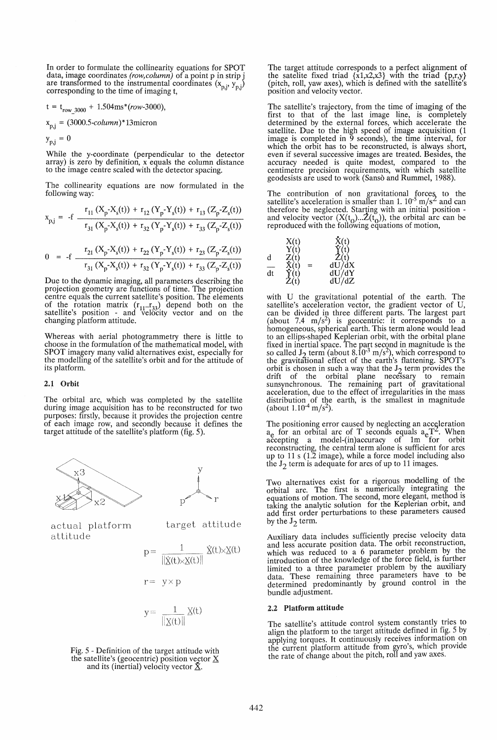In order to formulate the collinearity equations for SPOT data, image coordinates  $(row, column)$  of a point p in strip j data, image coordinates *(componential coordinates (x<sub>p,j</sub>, y<sub>p,j</sub>)* are transformed to the instrumental coordinates (x<sub>p,j</sub>, y<sub>p,j</sub>) corresponding to the time of imaging t,

$$
t = t_{row 3000} + 1.504ms*(row-3000),
$$

x<sub>p,j</sub> = (3000.5-column)\*13micron

 $y_{p,j} = 0$ 

While the y-coordinate (perpendicular to the detector array) is zero by definition, x equals the column distance to the image centre scaled with the detector spacing.

The collinearity equations are now formulated in the following way:

$$
x_{p,j} = -f \frac{r_{11}(X_p - X_s(t)) + r_{12}(Y_p - Y_s(t)) + r_{13}(Z_p - Z_s(t))}{r_{31}(X_p - X_s(t)) + r_{32}(Y_p - Y_s(t)) + r_{33}(Z_p - Z_s(t))}
$$

$$
0 = -f \frac{r_{21} (X_p - X_s(t)) + r_{22} (Y_p - Y_s(t)) + r_{23} (Z_p - Z_s(t))}{r_{31} (X_p - X_s(t)) + r_{32} (Y_p - Y_s(t)) + r_{33} (Z_p - Z_s(t))}
$$

Due to the dynamic imaging, all parameters describing the projection geometry are functions of time. The projection centre equals the current satellite's position. The elements of the rotation matrix  $(r_{11} \ldots r_{33})$  depend both on the satellite's position - and velocity vector and on the changing platform attitude.

Whereas with aerial photogrammetry there is little to choose in the formulation of the mathematical model, with SPOT imagery many valid alternatives exist, especially for the modelling of the satellite's orbit and for the attitude of its platform.

## 2.1 Orbit

The orbital arc, which was completed by the satellite during image acquisition has to be reconstructed for two purposes: firstly, because it provides the projection centre of each image row, and secondly because it defines the target attitude of the satellite's platform (fig. 5).





actual platform attitude

target attitude

$$
p = \frac{1}{\|\dot{\underline{X}}(t)\times \underline{X}(t)\|} \dot{\underline{X}}(t)\times \underline{X}(t)
$$
  

$$
r = y \times p
$$

$$
y = \frac{1}{\| \underline{X}(t) \|} \, \underline{X}(t)
$$

Fig. 5 - Definition of the target attitude with the satellite's (geocentric) position vector 
$$
\underline{X}
$$
 and its (inertial) velocity vector  $\underline{\hat{X}}$ .

The target attitude corresponds to a perfect alignment of the satelite fixed triad  $\{x1, x2, x3\}$  with the triad  $\{p,r,y\}$ (pitch, roll, yaw axes), which is defined with the satellite's position and velocity vector.

The satellite's trajectory, from the time of imaging of the first to that of the last image line, is completely determined by the external forces, which accelerate the satellite. Due to the high speed of image acquisition (1 image is completed in 9 seconds), the time interval, for which the orbit has to be reconstructed, is always short, even if several successive images are treated. Besides, the accuracy needed is quite modest, compared to the centimetre precision requirements, with which satellite geodesists are used to work (Sanso and Rummel, 1988).

The contribution of non gravitational forces to the satellite's acceleration is smaller than 1.  $10^{-5}$  m/s<sup>2</sup> and can therefore be neglected. Starting with an initial position and velocity vector  $(X(t_0)...\tilde{Z}(t_0))$ , the orbital arc can be reproduced with the following equations of motion,

|    |                                                      | $\tilde{X}(t)$<br>$\tilde{Y}(t)$                                          |
|----|------------------------------------------------------|---------------------------------------------------------------------------|
|    | $\begin{array}{c}\nX(t) \\ Y(t)\n\end{array}$        |                                                                           |
| d  | $\mathbf{Z}(\mathbf{t})$<br>$\mathbf{X}(\mathbf{t})$ | $\begin{array}{c}\n\mathbf{Z}(t) \\ dU/dX \\ dU/dY \\ dU/dZ\n\end{array}$ |
|    |                                                      |                                                                           |
| dt |                                                      |                                                                           |
|    | $\dot{Z}$ (t)                                        |                                                                           |

with U the gravitational potential of the earth. The satellite's acceleration vector, the gradient vector of U, satellite's acceleration vector, the gradient vector of U, can be divided in three different parts, The largest part (about 7.4 m/s<sup>2</sup>) is geocentric: it corresponds to a homogeneous, spherical earth. This term alone would lead to an ellips-shaped Keplerian orbit, with the orbital plane fixed in inertial space. The part second in magnitude is the so called  $J_2$  term (about 8.10<sup>-3</sup> m/s<sup>2</sup>), which correspond to the gravitational effect of the earth's flattening. SPOT's orbit is chosen in such a way that the  $J_2$  term provides the drift of the orbital plane necessary to remain sunsynchronous. The remaining part of gravitational acceleration, due to the effect of irregularities in the mass distribution of the earth, is the smallest in magnitude (about  $1.10^{-4}$  m/s<sup>2</sup>).

The positioning error caused by neglecting an acceleration  $a_e$  for an orbital arc of T seconds equals  $a_e$ T<sup>2</sup>. When accepting a model-(in)accuracy of 1m for orbit reconstructing, the central term alone is sufficient for arcs up to 11 s (1.2 image), while a force model including also the  $J_2$  term is adequate for arcs of up to 11 images.

Two alternatives exist for a rigorous modelling of the orbital arc. The first is numerically integrating the equations of motion. The second, more elegant, method is taking the analytic solution for the Keplerian orbit, and add first order perturbations to these parameters caused by the  $J_2$  term.

Auxiliary data includes sufficiently precise velocity data and less accurate position data. The orbit reconstruction, which was reduced to a 6 parameter problem by the introduction of the knowledge of the force field, is further limited to a three parameter problem by the auxiliary data. These remaining three parameters have to be determined predominantly by ground control in the bundle adjustment.

### 2.2 Platform attitude

The satellite's attitude control system constantly tries to align the platform to the target attitude defined in fig. 5 by applying torques. It continuously receives information on applying torques. A committed from gyro's, which provide<br>the rate of change about the pitch, roll and yaw axes.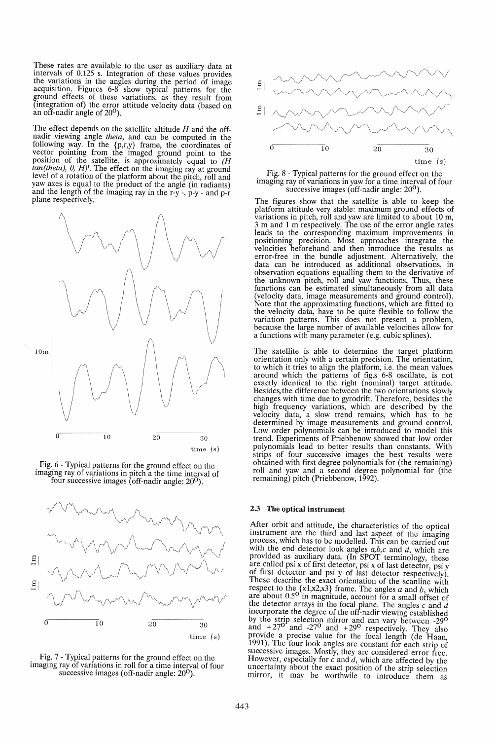These rates are available to the user as auxiliary data at intervals of 0.125 s. Integration of these values provides the variations in the angles during the period of image acquisition. Figures 6-8 show typical patterns for the ground effects of these variations, as they result from (integration of) the error attitude velocity data (based on an off-nadir angle of  $20^{\circ}$ ).

The effect depends on the satellite altitude *H* and the offnadir viewing angle *theta,* and can be computed in the following way. In the {p,r,y} frame, the coordinates of vector pointing from the imaged ground point to the position of the satellite, is approximately equal to  $(H)$  $tan(theta)$ ,  $0$ ,  $H$ <sup>t</sup>. The effect on the imaging ray at ground level of a rotation of the platform about the pitch, roll and yaw axes is equal to the product of the angle (in radiants) and the length of the imaging ray in the  $r-y$ ,  $p-y$  - and  $p-r$ plane respectively.







Fig. 7 - Typical patterns for the ground effect on the imaging ray of variations in roll for a time interval of four successive images (off-nadir angle:  $20^{\circ}$ ).



Fig. 8 - Typical patterns for the ground effect on the imaging ray of variations in yaw for a time interval of four successive images (off-nadir angle:  $20^0$ ).

The figures show that the satellite is able to keep the platform attitude very stable: maximum ground effects of variations in pitch, roll and yaw are limited to about 10 m, 3 m and 1 m respectively. The use of the error angle rates leads to the corresponding maximum improvements in positioning precision. Most approaches integrate the velocities beforehand and then introduce the results as velocities beforehand and then introduce the results as error-free in the bundle adjustment. Alternatively, the data can be introduced as additional observations, in observation equations equalling them to the derivative of the unknown pitch, roll and yaw functions. Thus, these functions can be estimated simultaneously from all data (velocity data, image measurements and ground control). Note that the approximating functions, which are fitted to the velocity data, have to be quite flexible to follow the variation patterns. This does not present a problem, because the large number of available velocities allow for a functions with many parameter (e.g. cubic splines).

The satellite is able to determine the target platform orientation only with a certain precision. The orientation, to which it tries to align the platform, i.e. the mean values around which the patterns of fig.s 6-8 oscillate, is not exactly identical to the right (nominal) target attitude. Besides, the difference between the two orientations slowly changes with time due to gyrodrift. Therefore, besides the high frequency variations, which are described by the velocity data, a slow trend remains, which has to be determined by image measurements and ground control. Low order polynomials can be introduced to model this trend. Experiments of Priebbenow showed that low order polynomials lead to better results than constants. With strips of four successive images the best results were obtained with first degree polynomials for (the remaining) roll and yaw and a second degree polynomial for (the remaining) pitch (Priebbenow, 1992).

# 2.3 The optical instrument

After orbit and attitude, the characteristics of the optical instrument are the third and last aspect of the imaging process, which has to be modelled. This can be carried out with the end detector look angles  $a, b, c$  and  $d$ , which are provided as auxiliary data. (In SPOT terminology, these are called psi x of first detector, psi x of last detector, psi y of first detector and psi y of last detector respectively). These describe the exact orientation of the scanline with respect to the {x1,x2,x3} frame. The angles *a* and b, which are about 0.50 in magnitude, account for a small offset of the detector arrays in the focal plane. The angles  $c$  and  $d$ incorporate the degree of the off-nadir viewing established by the strip selection mirror and can vary between -29<sup>0</sup> and  $+27^0$  and  $-27^0$  and  $+29^0$  respectively. They also provide a precise value for the focal length (de Haan, 1991). The four look angles are constant for each strip of successive images. Mostly, they are considered error free. However, especially for  $c$  and  $d$ , which are affected by the uncertainty about the exact position of the strip selection mirror, it may be worthwile to introduce them as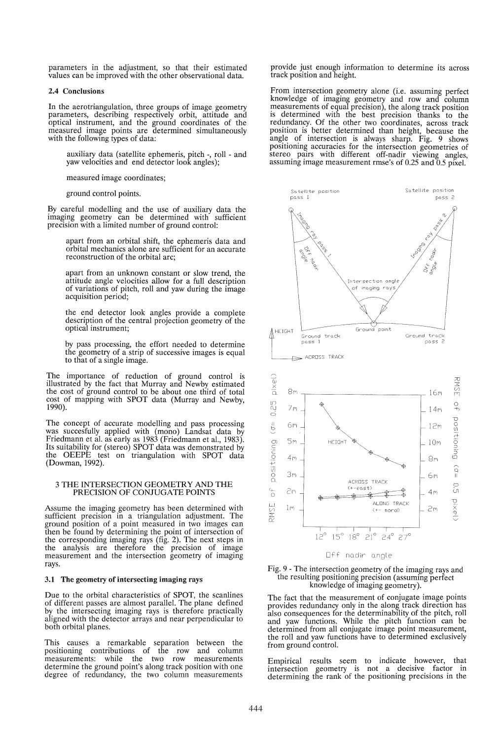parameters in the adjustment, so that their estimated values can be improved with the other observational data.

## 2.4 Conclusions

In the aerotriangulation, three groups of image geometry parameters, describing respectively orbit, attitude and optical instrument, and the ground coordinates of the measured image points are determined simultaneously with the following types of data:

auxiliary data (satellite ephemeris, pitch -, roll - and yaw velocities and end detector look angles);

measured image coordinates;

ground control points.

By careful modelling and the use of auxiliary data the imaging geometry can be determined with sufficient precision with a limited number of ground control:

apart from an orbital shift, the ephemeris data and orbital mechanics alone are sufficient for an accurate reconstruction of the orbital arc;

apart from an unknown constant or slow trend, the attitude angle velocities allow for a full description of variations of pitch, roll and yaw during the image acquisition period;

the end detector look angles provide a complete description of the central projection geometry of the optical instrument;

by pass processing, the effort needed to determine the geometry of a strip of successive images is equal to that of a single image.

The importance of reduction of ground control is illustrated by the fact that Murray and Newby estimated the cost of ground control to be about one third of total cost of mapping with SPOT data (Murray and Newby, 1990).

The concept of accurate modelling and pass processing was succesfully applied with (mono) Landsat data by Friedmann et al. as early as 1983 (Friedmann et al., 1983). Its suitability for (stereo) SPOT data was demonstrated by the OEEPE test on triangulation with SPOT data (Dowman, 1992).

### 3 THE INTERSECTION GEOMETRY AND THE PRECISION OF CONJUGATE POINTS

Assume the imaging geometry has been determined with sufficient precision in a triangulation adjustment. The ground position of a point measured in two images can then be found by determining the point of intersection of the corresponding imaging rays (fig. 2). The next steps in the analysis are therefore the precision of image measurement and the intersection geometry of imaging rays.

#### 3.1 The geometry of intersecting imaging rays

Due to the orbital characteristics of SPOT, the scanlines of different passes are almost parallel. The plane defined by the intersecting imaging rays is therefore practically aligned with the detector arrays and near perpendicular to both orbital planes.

This causes a remarkable separation between the positioning contributions of the row and column measurements: while the two row measurements determine the ground point's along track position with one degree of redundancy, the two column measurements

provide just enough information to determine its across track position and height.

From intersection geometry alone (i.e. assuming perfect knowledge of imaging geometry and row and column measurements of equal precision), the along track position is determined with the best precision thanks to the redundancy. Of the other two coordinates, across track position is better determined than height, because the angle of intersection is always sharp. Fig. 9 shows positioning accuracies for the intersection geometries of stereo pairs with different off-nadir viewing angles, assuming image measurement rmse's of 0.25 and 0.5 pixel.





The fact that the measurement of conjugate image points provides redundancy only in the along track direction has also consequences for the determinability of the pitch, roll and yaw functions. While the pitch function can be determined from all conjugate image point measurement, the roll and yaw functions have to determined exclusively from ground control.

Empirical results seem to indicate however, that intersection geometry is not a decisive factor in determining the rank of the positioning precisions in the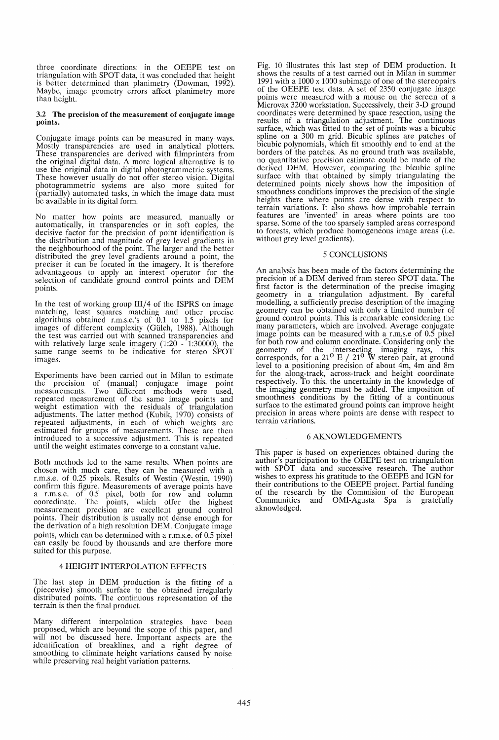three coordinate directions: in the OEEPE test on triangulation with SPOT data, it was concluded that height is better determined than planimetry (Dowman, 1992). Maybe, image geometry errors affect planimetry more than height.

### 3.2. The precision of the measurement of conjugate image points

Conjugate image points can be measured in many ways. Mostly transparencies are used in analytical plotters. These transparencies are derived with filmprinters from the original digital data. A more logical alternative is to the original data in digital photogrammetric systems. These however usually do not offer stereo vision. Digital photogrammetric systems are also more suited for (partially) automated tasks, in which the image data must be available in its digital form.

No matter how points are measured, manually or automatically, in transparencies or in soft copies, the decisive factor for the precision of point identification is the distribution and magnitude of grey level gradients in the neighbourhood of the point. The larger and the better distributed the grey level gradients around a point, the preciser it can be located in the imagery. It is therefore advantageous to apply an interest operator for the selection of candidate ground control points and DEM points.

In the test of working group *III/4* of the ISPRS on image matching, least squares matching and other precise algorithms obtained r.m.s.e.'s of  $0.1$  to 1.5 pixels for images of different complexity (Gülch, 1988). Although the test was carried out with scanned transparencies and with relatively large scale imagery (1:20 - 1:30000), the same range seems to be indicative for stereo SPOT same range seems to be indicative for stereo SPOT<br>images.

Experiments have been carried out in Milan to estimate the precision of (manual) conjugate image point measurements. Two different methods were used, Two different methods were repeated measurement of the same image points and weight estimation with the residuals of triangulation adjustments. The latter method (Kubik, 1970) consists of repeated adjustments, in each of which weights are estimated for groups of measurements. These are then estimated for groups of measurements. These are then introduced to a successive adjustment. This is repeated until the weight estimates converge to a constant value.

Both methods led to the same results. When points are chosen with much care, they can be measured with a r.m.s.e. of 0.25 pixels. Results of Westin (Westin, 1990) confirm this figure. Measurements of average points have<br>a r.m.s.e. of 0.5 pixel, both for row and column cooredinate. The points, which offer the highest measurement precision are excellent ground control points. Their distribution is usually not dense enough for the derivation of a high resolution DEM. Conjugate image points, which can be determined with a r.m.s.e. of 0.5 pixel can easily be found by thousands and are therfore more suited for this purpose.

### 4 HEIGHT INTERPOLATION EFFECTS

The last step in DEM production is the fitting of a (piecewise) smooth surface to the obtained irregularly distributed points. The continuous representation of the terrain is then the final product.

Many different interpolation strategies have been proposed, which are beyond the scope of this paper, and will not be discussed here. Important aspects are the identification of breaklines, and a right degree of smoothing to eliminate height variations caused by noise while preserving real height variation patterns.

Fig. 10 illustrates this last step of DEM production. It 1991 with a 1000 x 1000 subimage of one of the stereopairs of the OEEPE test data. A set of 2350 conjugate image Microvax 3200 workstation. Successively, their 3-D ground coordinates were determined by space resection, using the results of a triangulation adjustment. The continuous surface, which was fitted to the set of points was a bicubic spline on a 300 m grid. Bicubic splines are patches of bicubic polynomials, which fit smoothly end to end at the borders of the patches. As no ground truth was available, borders of the patches. As no ground truth was available, no quantitative precision estimate could be made of the derived DEM. However, comparing the bicubic spline surface with that obtained by simply triangulating the determined points nicely shows how the imposition of smoothness conditions improves the precision of the single heights there where points are dense with respect to terrain variations. It also shows how improbable terrain features are 'invented' in areas where points are too sparse. Some of the too sparsely sampled areas correspond to forests, which produce homogeneous image areas (i.e. without grey level gradients).

## 5 CONCLUSIONS

An analysis has been made of the factors determining the precision of a DEM derived from stereo SPOT data. The first factor is the determination of the precise imaging geometry in a triangulation adjustment. By careful modelling, a sufficiently precise description of the imaging geometry can be obtained with only a limited number of ground control points. This is remarkable considering the many parameters, which are involved. Average conjugate image points can be measured with a r.m.s.e of 0.5 pixel for both row and column coordinate. Considering only the geometry of the intersecting imaging rays, this corresponds, for a  $21^{\circ}$  E /  $21^{\circ}$  W stereo pair, at ground level to a positioning precision of about 4m, 4m and 8m for the along-track, across-track and height coordinate respectively. To this, the uncertainty in the knowledge of the imaging geometry must be added. The imposition of smoothness conditions by the fitting of a continuous surface to the estimated ground points can improve height precision in areas where points are dense with respect to terrain variations.

### 6 AKNOWLEDGEMENTS

This paper is based on experiences obtained during the author's participation to the OEEPE test on triangulation with SPOT data and successive research. The author wishes to express his gratitude to the OEEPE and IGN for their contributions to the OEEPE project. Partial funding of the research by the Commision of the European Communities and OMI-Agusta Spa is gratefully aknowledged.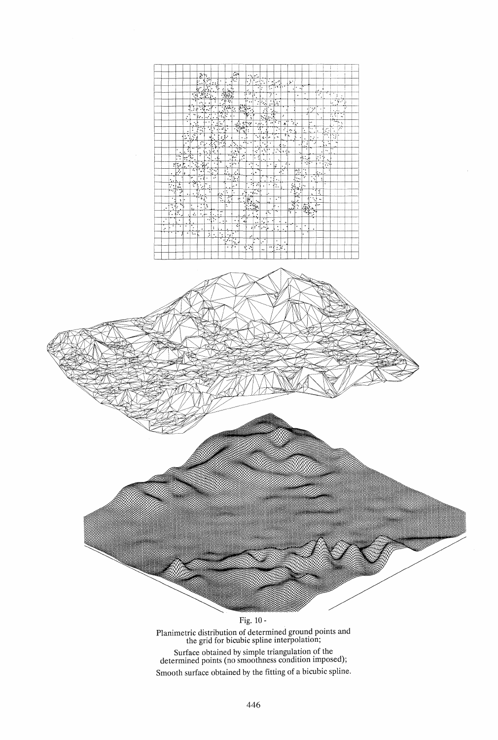|        |               |                                   |                 |                | À                                     | þ.                      |                  |                       |                                        | ÷.                       |                      | ÷.                         | G.                                           |                       |                      |                            |                           |           |                      |                              |                      |             |                          |              |              |    |
|--------|---------------|-----------------------------------|-----------------|----------------|---------------------------------------|-------------------------|------------------|-----------------------|----------------------------------------|--------------------------|----------------------|----------------------------|----------------------------------------------|-----------------------|----------------------|----------------------------|---------------------------|-----------|----------------------|------------------------------|----------------------|-------------|--------------------------|--------------|--------------|----|
|        |               |                                   |                 |                | ٠<br>$\ddot{\phantom{0}}$             | F<br>٠                  | ÷                | ٠                     | ι.                                     | u.<br>F.                 |                      | $\ddot{\cdot}$<br>٠        | ۰<br>                                        | J÷.<br>ı.<br>$\cdot$  | s a                  | بغويها                     |                           | ķ.        |                      |                              |                      |             |                          |              |              |    |
|        |               |                                   |                 |                | $\mathbf{\bar{z}}$                    | á                       | ÷<br>٦.<br>ļ.    |                       |                                        | ÷.                       |                      |                            | ٠                                            | Ŀ                     | τ                    | . 1.1.                     |                           | ٠         | ٠                    | ा                            |                      |             |                          |              |              |    |
|        |               |                                   |                 | ٦Ī.            | $\frac{1}{\sqrt{2}}$                  | ा                       | ٠                |                       | $\frac{1}{2}$                          |                          | Ţ                    | <br>÷                      | t,<br>٠                                      |                       | Τ                    | ٠                          |                           |           | ٠                    | ٠                            |                      | ٠<br>7<br>٠ |                          |              | ţ.<br>٠.     |    |
|        |               |                                   |                 | 喑              | ò.                                    | ٠<br>×.                 | τ                |                       |                                        |                          |                      | ı.<br>$\ddot{\phantom{0}}$ | Ŧ<br>$\bullet$<br>٠                          | $\mathbb{G}_{\Delta}$ | ٠                    | ٣s<br>h                    |                           |           |                      |                              |                      |             |                          | $\lambda$    | $+11.7$<br>é | ı. |
|        |               |                                   |                 | 77             | $\mathbb{Z}$                          | 42                      | ٠                |                       |                                        |                          |                      |                            |                                              | И                     | ăž.<br>٠             |                            |                           |           |                      | ٠                            | ارد'                 | ٠           | ı.                       | tarb.        |              | Γ  |
|        |               |                                   | $\cdot$         | ٠.             | $\epsilon$ .                          | ٠<br>٠,                 |                  |                       | $\mathbb{R}^n$                         |                          |                      | 學                          |                                              | $\mathbb{R}^n$        | 主<br>þ,              |                            | ÷                         |           |                      | 7                            |                      | ۳<br>٠      |                          | j.<br>÷,     | 44           |    |
|        |               |                                   | ٠               | $\cdot$ .      |                                       | ٠                       | ٠                | 7<br>١.               |                                        |                          |                      |                            | $\bullet$                                    | л.                    | $\ddot{\phantom{0}}$ | ÷<br>$\ddot{\phantom{0}}$  | ٠<br>×.                   | 기         |                      |                              | ۰۰                   |             |                          |              | τ.           |    |
|        |               |                                   | ٠               | $\ddot{\cdot}$ | 국<br>Ŧ<br>W                           | J                       | τ<br>ı.          | T. 2                  | уĥ,                                    |                          |                      |                            | ۰,                                           | ٠                     |                      | ٠<br>٠                     | ÷                         | ÷         |                      | ٠.                           | ×,<br>٠.             | k.          | Ġ.<br>$\hat{\mathbf{v}}$ | ¥<br>$\cdot$ | ť.           |    |
|        |               |                                   | ٠.<br>۰<br>ä,   | 주              |                                       |                         | ٠<br>ò.          | ŧ<br>Ļ,               | è                                      |                          | J.<br>٠              |                            | ξ,                                           | ι.                    | ×                    | š,<br>L                    | ¥                         |           |                      | ٠<br>٠                       | ć÷                   | ×           | н.<br>٠                  | π            | ×            |    |
|        |               |                                   | ٠               |                | F                                     | ٠                       |                  | 东口                    |                                        | $\mathcal{N}$ .          | ۰.                   | ञ. .                       | ٠                                            | $\cdot$ .             | ٠                    | s.                         | ٠.                        |           | ٠                    | ٠.<br>$\hat{\boldsymbol{z}}$ | A                    |             | τ<br>44<br>x             | w            |              |    |
|        |               | ٠<br>٠                            | Ť               |                | 7                                     | ħ<br>ŀ,                 | $\ddot{\ddot{}}$ |                       |                                        |                          | T<br>۰,<br>٠         |                            | Ţ,<br>÷                                      | $\tilde{\cdot}$       | ٠                    | ۶.)<br>٠                   | ٠í                        | I٤        | $\ddot{\phantom{a}}$ | ٠                            |                      | ٠           | $\bullet_\Phi$           |              |              |    |
|        |               | F                                 | ₩.              | ſ.<br>۰        | ÷                                     | Ŧ<br>$\epsilon_{\rm s}$ | . .              |                       |                                        | $\pm$                    | ट                    |                            | ê<br>٠<br>٠                                  | ٠                     | ٠                    | ٠                          |                           |           |                      | $\bullet$<br>۰t.<br>단세       |                      | ŀ.<br>٠,    |                          |              |              |    |
|        | $\vec{\cdot}$ | ţ,                                | J.<br>$\bullet$ | å.<br>÷.       | $\frac{1}{\Omega}$<br>۰               | تو                      | $\bullet$        |                       | ٠<br>۰.                                | ۱۰ په                    |                      | ۰.<br>$\cdot$              | $\epsilon_{\star}$                           |                       | ٠                    | ı,                         | $\ddot{\phantom{a}}$<br>٠ | ٠         |                      | रा                           |                      | $\bullet$   | 도구                       |              |              |    |
|        | ٠             | 7                                 | ł٤              | τ              | 7<br>٠                                | П                       | σ,<br>Ŀ          |                       | ÷<br>$\ddot{\phantom{0}}$<br>$\bullet$ | ٠<br>ŀ.<br>٠             |                      | ٠                          | प्त.<br>٠                                    |                       |                      | ٠                          | т<br>$\ddot{\phantom{a}}$ |           | $\mathbb{Z}$         | ٠.<br>ż                      |                      | k.          |                          |              |              |    |
|        | ٠             |                                   |                 | ×              | --<br>74                              | ٠                       | $\cdot$          |                       | 7<br>٠.                                | k.                       |                      | ٠                          |                                              |                       | τ<br>۰               | lo<br>$\ddot{\phantom{0}}$ |                           |           | ٠.,                  | 7                            | ٠<br>۰.              | t           |                          |              |              |    |
|        | ŀ۰.           | ٠<br>$1 -$                        |                 | Ŷ.             | $\bullet$<br>$\epsilon^{\prime}$<br>ï | ۰.<br>÷                 |                  |                       | ٠.                                     | ٠<br>ä                   |                      | Τ<br>٠                     | - 1                                          | ٠                     | ۰                    | ۰.<br>Ξ.                   |                           |           |                      | ٠.                           | ٠                    |             | ٠                        |              |              |    |
|        | ÷,<br>٠       | T,                                | $\ddotsc$       | ٠              | ŀ.                                    | Ŧ<br>٠                  |                  | ٠<br>×.               | ٠.                                     | ٠                        | ×                    | ٠                          | $\frac{1}{2}$<br>٠۴.,                        |                       | ٠                    |                            |                           |           | Ţ.<br>٠              |                              | $\ddot{\phantom{0}}$ | Y<br>٠.     |                          |              |              |    |
|        | 75            | e.<br>$\tilde{\mathbf{u}}$        | ٠               |                | ٠.                                    | ţ                       |                  | $\frac{1}{2}$         | 7<br>$\ddot{\phantom{a}}$              |                          | $\ddot{\phantom{0}}$ | F                          | ٠,                                           |                       | ۰                    | ٠,<br>$\ddot{\phantom{0}}$ |                           | ٠.        | $\pi_{\ast}$<br>ż    | á                            | ñ,                   | ۰.          |                          |              |              |    |
| ٠      | $^{44}$<br>÷  | ۳,<br>ć                           |                 | ۰<br>ż.        | ٠<br>$\ddot{\phantom{0}}$             | Ņ                       |                  |                       | ۰.                                     |                          |                      |                            | $\frac{1}{\left \sum_{i=1}^{n}p_{i}\right }$ |                       |                      | ٠                          |                           | ر<br>محمد | ŀ,                   | 零                            |                      | ٠.          |                          |              |              |    |
|        | 7<br>٠        | द<br>÷.<br>$\bullet^{\mathsf{c}}$ | ۰               | ÷.             | ٠                                     | ą<br>۰,۳                | ٠<br>è           | $\bullet$<br>٠        |                                        |                          | -11                  | $\epsilon^*$               | $\bullet$                                    |                       | Т.                   | ۰,                         |                           | ٠,        | ı.                   |                              |                      |             |                          |              |              |    |
| ٠<br>۰ |               | ٠                                 |                 |                |                                       | $\bullet$ $\bullet$     | τ.               | ٠                     | ı.                                     | ٠                        | ٠<br>٩ļ              |                            |                                              | $\cdot$ .<br>۰,       | ı.                   |                            | ٠                         |           |                      |                              |                      |             |                          |              |              |    |
| v.     | ٠             | ٠.                                | ٠               | ٠<br>٠.        | ٠                                     |                         | t                | $\tilde{\phantom{a}}$ | ٠                                      | ÷.                       |                      | Ы                          | $\cdot$<br>٠.                                | أفخيرا                | ļ.                   | ٠<br>٠                     | ٠                         |           | ٠<br>٠               | ٠                            | ٠                    |             |                          |              |              |    |
|        |               |                                   | ۰               | ٠.             |                                       | ÷,                      | ٠                | f.                    | $\cdot$ .                              | ŀ                        |                      | ı.                         |                                              |                       |                      |                            |                           |           |                      | ı.                           |                      |             |                          |              |              |    |
|        |               |                                   |                 |                |                                       |                         |                  | ٠                     | j.,                                    | $\overline{\cdot}$<br>۰. |                      |                            | $\overline{\phantom{a}}$<br>ı.               | ٠<br>Ö,               |                      | ٠                          | $\cdot$                   |           |                      |                              |                      |             |                          |              |              |    |
|        |               |                                   |                 |                |                                       |                         |                  |                       | ۰                                      | ٠                        | ۹ľ                   | Ļ.                         |                                              |                       |                      | ٠.                         | F<br>٠                    |           |                      |                              |                      |             |                          |              |              |    |



Planimetric distribution of determined ground points and the grid for bicubic spline interpolation; Surface obtained by simple triangulation of the determined points (no smoothness condition imposed); Smooth surface obtained by the fitting of a bicubic spline.